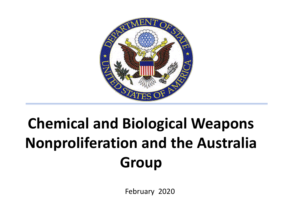

### **Chemical and Biological Weapons Nonproliferation and the Australia Group**

February 2020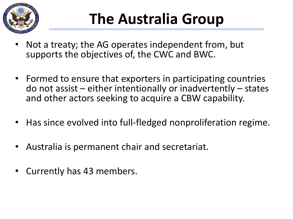

## **The Australia Group**

- Not a treaty; the AG operates independent from, but supports the objectives of, the CWC and BWC.
- Formed to ensure that exporters in participating countries do not assist – either intentionally or inadvertently – states and other actors seeking to acquire a CBW capability.
- Has since evolved into full-fledged nonproliferation regime.
- Australia is permanent chair and secretariat.
- Currently has 43 members.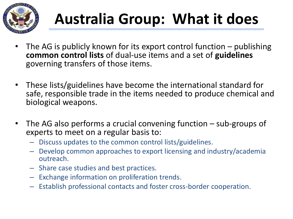

# **Australia Group: What it does**

- The AG is publicly known for its export control function  $-$  publishing **common control lists** of dual-use items and a set of **guidelines** governing transfers of those items.
- These lists/guidelines have become the international standard for safe, responsible trade in the items needed to produce chemical and biological weapons.
- The AG also performs a crucial convening function  $-$  sub-groups of experts to meet on a regular basis to:
	- Discuss updates to the common control lists/guidelines.
	- Develop common approaches to export licensing and industry/academia outreach.
	- Share case studies and best practices.
	- Exchange information on proliferation trends.
	- Establish professional contacts and foster cross-border cooperation.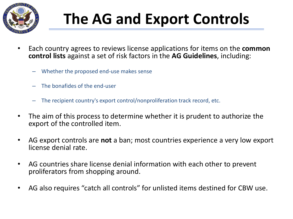

# **The AG and Export Controls**

- Each country agrees to reviews license applications for items on the **common control lists** against a set of risk factors in the **AG Guidelines**, including:
	- Whether the proposed end-use makes sense
	- The bonafides of the end-user
	- The recipient country's export control/nonproliferation track record, etc.
- The aim of this process to determine whether it is prudent to authorize the export of the controlled item.
- AG export controls are **not** a ban; most countries experience a very low export license denial rate.
- AG countries share license denial information with each other to prevent proliferators from shopping around.
- AG also requires "catch all controls" for unlisted items destined for CBW use.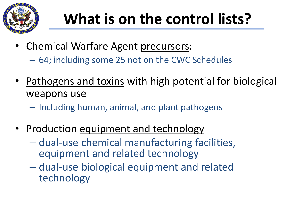

## **What is on the control lists?**

- Chemical Warfare Agent precursors:
	- 64; including some 25 not on the CWC Schedules
- Pathogens and toxins with high potential for biological weapons use
	- Including human, animal, and plant pathogens
- Production equipment and technology
	- dual-use chemical manufacturing facilities, equipment and related technology
	- dual-use biological equipment and related technology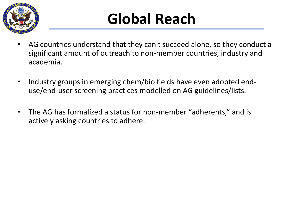

### **Global Reach**

- AG countries understand that they can't succeed alone, so they conduct a significant amount of outreach to non-member countries, industry and academia.
- Industry groups in emerging chem/bio fields have even adopted enduse/end-user screening practices modelled on AG guidelines/lists.
- The AG has formalized a status for non-member "adherents," and is actively asking countries to adhere.